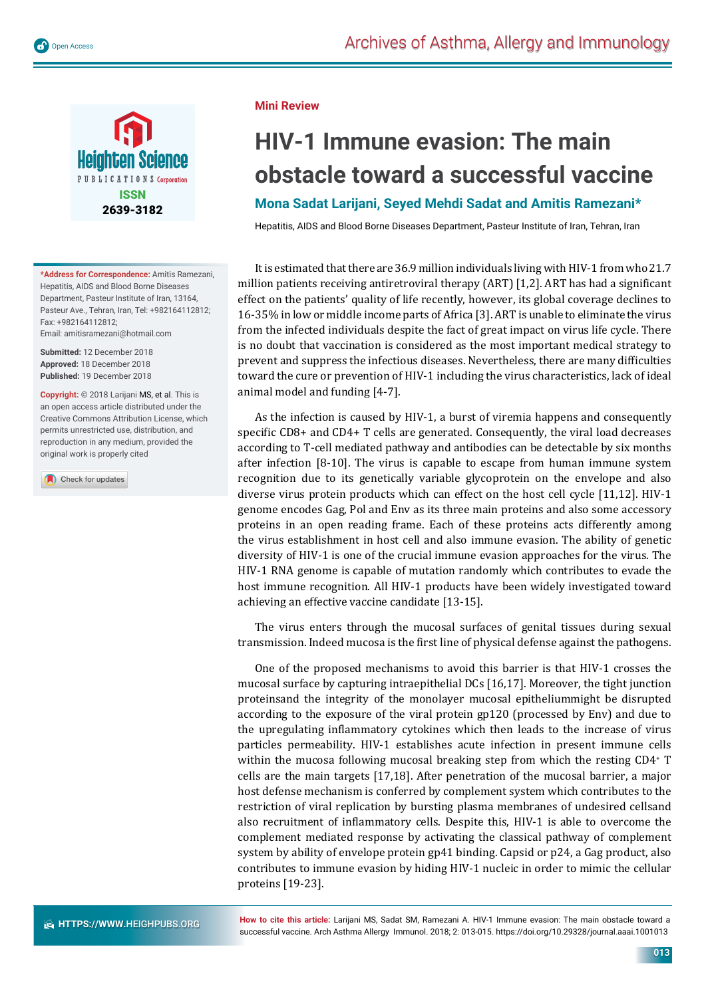

**\*Address for Correspondence:** Amitis Ramezani, Hepatitis, AIDS and Blood Borne Diseases Department, Pasteur Institute of Iran, 13164, Pasteur Ave., Tehran, Iran, Tel: +982164112812; Fax: +982164112812;

Email: amitisramezani@hotmail.com

**Submitted:** 12 December 2018 **Approved:** 18 December 2018 **Published:** 19 December 2018

**Copyright:** © 2018 Larijani MS, et al. This is an open access article distributed under the Creative Commons Attribution License, which permits unrestricted use, distribution, and reproduction in any medium, provided the original work is properly cited

Check for updates

**Mini Review**

## **HIV-1 Immune evasion: The main obstacle toward a successful vaccine**

## **Mona Sadat Larijani, Seyed Mehdi Sadat and Amitis Ramezani\***

Hepatitis, AIDS and Blood Borne Diseases Department, Pasteur Institute of Iran, Tehran, Iran

It is estimated that there are 36.9 million individuals living with HIV-1 from who 21.7 million patients receiving antiretroviral therapy  $(ART)$  [1,2]. ART has had a significant effect on the patients' quality of life recently, however, its global coverage declines to 16-35% in low or middle income parts of Africa [3]. ART is unable to eliminate the virus from the infected individuals despite the fact of great impact on virus life cycle. There is no doubt that vaccination is considered as the most important medical strategy to prevent and suppress the infectious diseases. Nevertheless, there are many difficulties toward the cure or prevention of HIV-1 including the virus characteristics, lack of ideal animal model and funding [4-7].

As the infection is caused by HIV-1, a burst of viremia happens and consequently specific  $CD8+$  and  $CD4+$  T cells are generated. Consequently, the viral load decreases according to T-cell mediated pathway and antibodies can be detectable by six months after infection [8-10]. The virus is capable to escape from human immune system recognition due to its genetically variable glycoprotein on the envelope and also diverse virus protein products which can effect on the host cell cycle [11,12]. HIV-1 genome encodes Gag, Pol and Env as its three main proteins and also some accessory proteins in an open reading frame. Each of these proteins acts differently among the virus establishment in host cell and also immune evasion. The ability of genetic diversity of HIV-1 is one of the crucial immune evasion approaches for the virus. The HIV-1 RNA genome is capable of mutation randomly which contributes to evade the host immune recognition. All HIV-1 products have been widely investigated toward achieving an effective vaccine candidate [13-15].

The virus enters through the mucosal surfaces of genital tissues during sexual transmission. Indeed mucosa is the first line of physical defense against the pathogens.

One of the proposed mechanisms to avoid this barrier is that HIV-1 crosses the mucosal surface by capturing intraepithelial DCs [16,17]. Moreover, the tight junction proteinsand the integrity of the monolayer mucosal epitheliummight be disrupted according to the exposure of the viral protein gp120 (processed by Env) and due to the upregulating inflammatory cytokines which then leads to the increase of virus particles permeability. HIV-1 establishes acute infection in present immune cells within the mucosa following mucosal breaking step from which the resting CD4<sup>+</sup> T cells are the main targets [17,18]. After penetration of the mucosal barrier, a major host defense mechanism is conferred by complement system which contributes to the restriction of viral replication by bursting plasma membranes of undesired cellsand also recruitment of inflammatory cells. Despite this, HIV-1 is able to overcome the complement mediated response by activating the classical pathway of complement system by ability of envelope protein gp41 binding. Capsid or p24, a Gag product, also contributes to immune evasion by hiding HIV-1 nucleic in order to mimic the cellular proteins [19-23].

**How to cite this article:** Larijani MS, Sadat SM, Ramezani A. HIV-1 Immune evasion: The main obstacle toward a successful vaccine. Arch Asthma Allergy Immunol. 2018; 2: 013-015. https://doi.org/10.29328/journal.aaai.1001013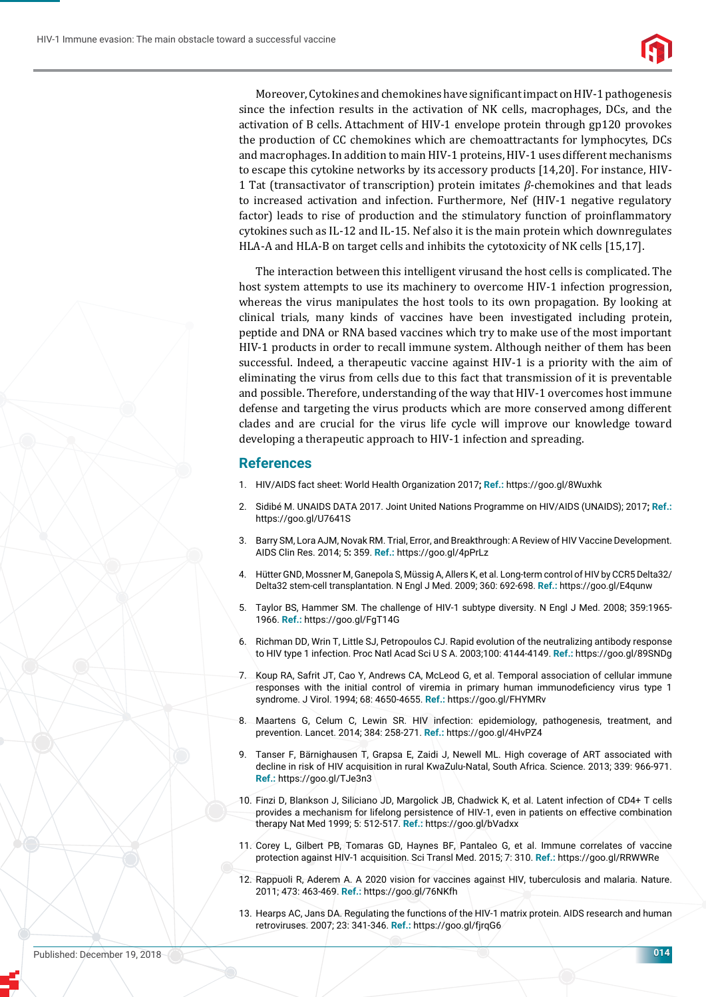

Moreover, Cytokines and chemokines have significant impact on HIV-1 pathogenesis since the infection results in the activation of NK cells, macrophages, DCs, and the activation of B cells. Attachment of HIV-1 envelope protein through gp120 provokes the production of CC chemokines which are chemoattractants for lymphocytes, DCs and macrophages. In addition to main HIV-1 proteins, HIV-1 uses different mechanisms to escape this cytokine networks by its accessory products [14,20]. For instance, HIV-1 Tat (transactivator of transcription) protein imitates *β*-chemokines and that leads to increased activation and infection. Furthermore, Nef (HIV-1 negative regulatory factor) leads to rise of production and the stimulatory function of proinflammatory cytokines such as IL-12 and IL-15. Nef also it is the main protein which downregulates HLA-A and HLA-B on target cells and inhibits the cytotoxicity of NK cells [15,17].

The interaction between this intelligent virusand the host cells is complicated. The host system attempts to use its machinery to overcome HIV-1 infection progression, whereas the virus manipulates the host tools to its own propagation. By looking at clinical trials, many kinds of vaccines have been investigated including protein, peptide and DNA or RNA based vaccines which try to make use of the most important HIV-1 products in order to recall immune system. Although neither of them has been successful. Indeed, a therapeutic vaccine against HIV-1 is a priority with the aim of eliminating the virus from cells due to this fact that transmission of it is preventable and possible. Therefore, understanding of the way that HIV-1 overcomes host immune defense and targeting the virus products which are more conserved among different clades and are crucial for the virus life cycle will improve our knowledge toward developing a therapeutic approach to HIV-1 infection and spreading.

## **References**

- 1. HIV/AIDS fact sheet: World Health Organization 2017**; Ref.:** https://goo.gl/8Wuxhk
- 2. Sidibé M. UNAIDS DATA 2017. Joint United Nations Programme on HIV/AIDS (UNAIDS); 2017**; Ref.:** https://goo.gl/U7641S
- 3. Barry SM, Lora AJM, Novak RM. Trial, Error, and Breakthrough: A Review of HIV Vaccine Development. AIDS Clin Res. 2014; 5**:** 359. **Ref.:** https://goo.gl/4pPrLz
- 4. Hütter GND, Mossner M, Ganepola S, Müssig A, Allers K, et al. Long-term control of HIV by CCR5 Delta32/ Delta32 stem-cell transplantation. N Engl J Med. 2009; 360: 692-698. **Ref.:** https://goo.gl/E4qunw
- 5. Taylor BS, Hammer SM. The challenge of HIV-1 subtype diversity. N Engl J Med. 2008; 359:1965- 1966. **Ref.:** https://goo.gl/FgT14G
- 6. Richman DD, Wrin T, Little SJ, Petropoulos CJ. Rapid evolution of the neutralizing antibody response to HIV type 1 infection. Proc Natl Acad Sci U S A. 2003;100: 4144-4149. **Ref.:** https://goo.gl/89SNDg
- 7. Koup RA, Safrit JT, Cao Y, Andrews CA, McLeod G, et al. Temporal association of cellular immune responses with the initial control of viremia in primary human immunodeficiency virus type 1 syndrome. J Virol. 1994; 68: 4650-4655. **Ref.:** https://goo.gl/FHYMRv
- 8. Maartens G, Celum C, Lewin SR. HIV infection: epidemiology, pathogenesis, treatment, and prevention. Lancet. 2014; 384: 258-271. **Ref.:** https://goo.gl/4HvPZ4
- 9. Tanser F, Bärnighausen T, Grapsa E, Zaidi J, Newell ML. High coverage of ART associated with decline in risk of HIV acquisition in rural KwaZulu-Natal, South Africa. Science. 2013; 339: 966-971. **Ref.:** https://goo.gl/TJe3n3
- 10. Finzi D, Blankson J, Siliciano JD, Margolick JB, Chadwick K, et al. Latent infection of CD4+ T cells provides a mechanism for lifelong persistence of HIV-1, even in patients on effective combination therapy Nat Med 1999; 5: 512-517. **Ref.:** https://goo.gl/bVadxx
- 11. Corey L, Gilbert PB, Tomaras GD, Haynes BF, Pantaleo G, et al. Immune correlates of vaccine protection against HIV-1 acquisition. Sci Transl Med. 2015; 7: 310. **Ref.:** https://goo.gl/RRWWRe
- 12. Rappuoli R, Aderem A. A 2020 vision for vaccines against HIV, tuberculosis and malaria. Nature. 2011; 473: 463-469. **Ref.:** https://goo.gl/76NKfh
- 13. Hearps AC, Jans DA. Regulating the functions of the HIV-1 matrix protein. AIDS research and human retroviruses. 2007; 23: 341-346. **Ref.:** https://goo.gl/fjrqG6